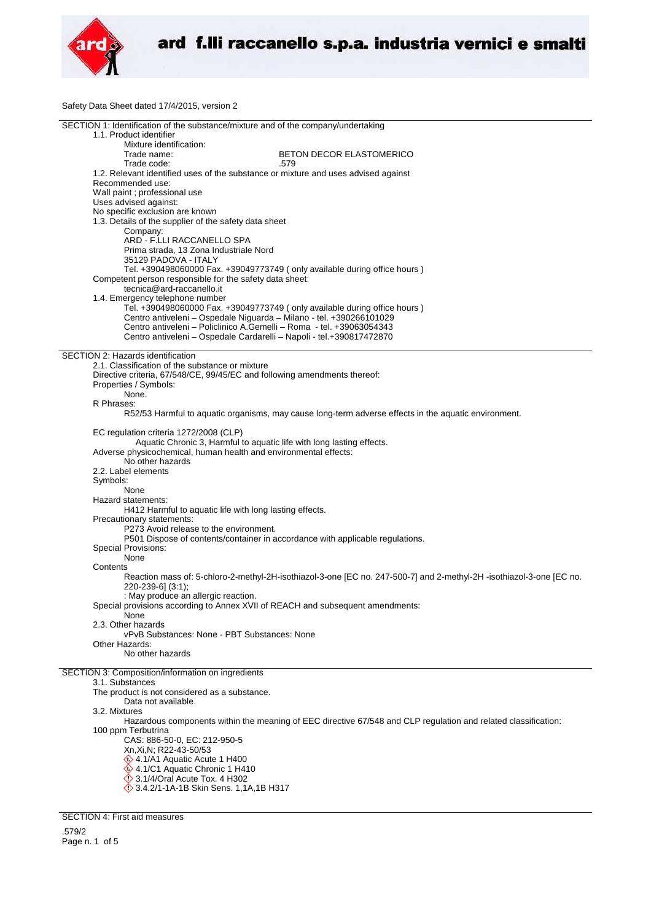

Safety Data Sheet dated 17/4/2015, version 2

| SECTION 1: Identification of the substance/mixture and of the company/undertaking<br>1.1. Product identifier         |
|----------------------------------------------------------------------------------------------------------------------|
|                                                                                                                      |
|                                                                                                                      |
|                                                                                                                      |
| Mixture identification:                                                                                              |
| Trade name:<br><b>BETON DECOR ELASTOMERICO</b>                                                                       |
| Trade code:<br>.579                                                                                                  |
| 1.2. Relevant identified uses of the substance or mixture and uses advised against                                   |
|                                                                                                                      |
| Recommended use:                                                                                                     |
| Wall paint ; professional use                                                                                        |
|                                                                                                                      |
| Uses advised against:                                                                                                |
| No specific exclusion are known                                                                                      |
| 1.3. Details of the supplier of the safety data sheet                                                                |
|                                                                                                                      |
| Company:                                                                                                             |
| ARD - F.LLI RACCANELLO SPA                                                                                           |
| Prima strada, 13 Zona Industriale Nord                                                                               |
| 35129 PADOVA - ITALY                                                                                                 |
|                                                                                                                      |
| Tel. +390498060000 Fax. +39049773749 (only available during office hours)                                            |
| Competent person responsible for the safety data sheet:                                                              |
| tecnica@ard-raccanello.it                                                                                            |
|                                                                                                                      |
| 1.4. Emergency telephone number                                                                                      |
| Tel. +390498060000 Fax. +39049773749 (only available during office hours )                                           |
| Centro antiveleni - Ospedale Niguarda - Milano - tel. +390266101029                                                  |
|                                                                                                                      |
| Centro antiveleni – Policlinico A.Gemelli – Roma - tel. +39063054343                                                 |
| Centro antiveleni - Ospedale Cardarelli - Napoli - tel.+390817472870                                                 |
|                                                                                                                      |
|                                                                                                                      |
| SECTION 2: Hazards identification                                                                                    |
| 2.1. Classification of the substance or mixture                                                                      |
| Directive criteria, 67/548/CE, 99/45/EC and following amendments thereof:                                            |
|                                                                                                                      |
| Properties / Symbols:                                                                                                |
| None.                                                                                                                |
|                                                                                                                      |
| R Phrases:                                                                                                           |
| R52/53 Harmful to aquatic organisms, may cause long-term adverse effects in the aquatic environment.                 |
|                                                                                                                      |
|                                                                                                                      |
| EC regulation criteria 1272/2008 (CLP)                                                                               |
| Aquatic Chronic 3, Harmful to aquatic life with long lasting effects.                                                |
| Adverse physicochemical, human health and environmental effects:                                                     |
|                                                                                                                      |
| No other hazards                                                                                                     |
| 2.2. Label elements                                                                                                  |
| Symbols:                                                                                                             |
|                                                                                                                      |
| None                                                                                                                 |
| Hazard statements:                                                                                                   |
| H412 Harmful to aquatic life with long lasting effects.                                                              |
|                                                                                                                      |
| Precautionary statements:                                                                                            |
|                                                                                                                      |
|                                                                                                                      |
| P273 Avoid release to the environment.                                                                               |
| P501 Dispose of contents/container in accordance with applicable regulations.                                        |
| <b>Special Provisions:</b>                                                                                           |
|                                                                                                                      |
| None                                                                                                                 |
| Contents                                                                                                             |
| Reaction mass of: 5-chloro-2-methyl-2H-isothiazol-3-one [EC no. 247-500-7] and 2-methyl-2H -isothiazol-3-one [EC no. |
|                                                                                                                      |
| 220-239-6] (3:1);                                                                                                    |
| : May produce an allergic reaction.                                                                                  |
| Special provisions according to Annex XVII of REACH and subsequent amendments:                                       |
|                                                                                                                      |
| None                                                                                                                 |
| 2.3. Other hazards                                                                                                   |
| vPvB Substances: None - PBT Substances: None                                                                         |
|                                                                                                                      |
| Other Hazards:                                                                                                       |
| No other hazards                                                                                                     |
|                                                                                                                      |
|                                                                                                                      |
| SECTION 3: Composition/information on ingredients                                                                    |
| 3.1. Substances                                                                                                      |
| The product is not considered as a substance.                                                                        |
| Data not available                                                                                                   |
|                                                                                                                      |
| 3.2. Mixtures                                                                                                        |
| Hazardous components within the meaning of EEC directive 67/548 and CLP regulation and related classification:       |
|                                                                                                                      |
| 100 ppm Terbutrina                                                                                                   |
| CAS: 886-50-0, EC: 212-950-5                                                                                         |
| Xn, Xi, N; R22-43-50/53                                                                                              |
|                                                                                                                      |
| $\leftrightarrow$ 4.1/A1 Aquatic Acute 1 H400                                                                        |
| 4.1/C1 Aquatic Chronic 1 H410                                                                                        |
| <b>◯ 3.1/4/Oral Acute Tox. 4 H302</b>                                                                                |
|                                                                                                                      |
| 3.4.2/1-1A-1B Skin Sens. 1,1A,1B H317                                                                                |
|                                                                                                                      |

SECTION 4: First aid measures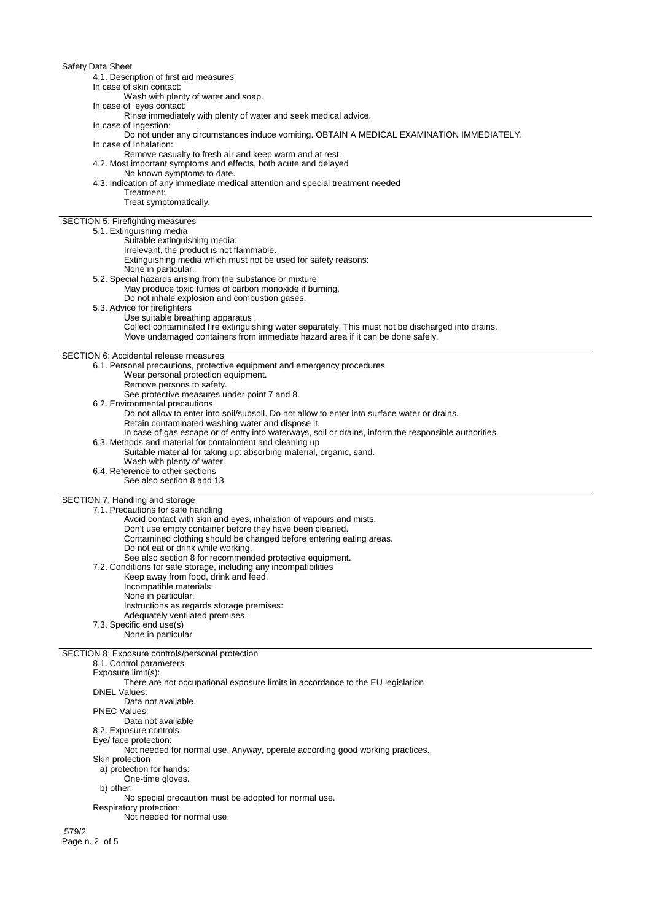## Safety Data Sheet

4.1. Description of first aid measures

In case of skin contact:

Wash with plenty of water and soap.

In case of eyes contact:

Rinse immediately with plenty of water and seek medical advice.

In case of Ingestion:

Do not under any circumstances induce vomiting. OBTAIN A MEDICAL EXAMINATION IMMEDIATELY. In case of Inhalation:

Remove casualty to fresh air and keep warm and at rest. 4.2. Most important symptoms and effects, both acute and delayed

No known symptoms to date.

4.3. Indication of any immediate medical attention and special treatment needed

Treatment: Treat symptomatically.

## SECTION 5: Firefighting measures

5.1. Extinguishing media

Suitable extinguishing media:

Irrelevant, the product is not flammable.

Extinguishing media which must not be used for safety reasons:

None in particular.

5.2. Special hazards arising from the substance or mixture

May produce toxic fumes of carbon monoxide if burning.

- Do not inhale explosion and combustion gases.
- 5.3. Advice for firefighters

Use suitable breathing apparatus .

Collect contaminated fire extinguishing water separately. This must not be discharged into drains. Move undamaged containers from immediate hazard area if it can be done safely.

SECTION 6: Accidental release measures

6.1. Personal precautions, protective equipment and emergency procedures

- Wear personal protection equipment.
- Remove persons to safety.

See protective measures under point 7 and 8.

6.2. Environmental precautions

Do not allow to enter into soil/subsoil. Do not allow to enter into surface water or drains.

Retain contaminated washing water and dispose it.

In case of gas escape or of entry into waterways, soil or drains, inform the responsible authorities.

- 6.3. Methods and material for containment and cleaning up
- Suitable material for taking up: absorbing material, organic, sand.

Wash with plenty of water.

6.4. Reference to other sections

See also section 8 and 13

## SECTION 7: Handling and storage

7.1. Precautions for safe handling Avoid contact with skin and eyes, inhalation of vapours and mists. Don't use empty container before they have been cleaned. Contamined clothing should be changed before entering eating areas. Do not eat or drink while working. See also section 8 for recommended protective equipment. 7.2. Conditions for safe storage, including any incompatibilities Keep away from food, drink and feed. Incompatible materials: None in particular. Instructions as regards storage premises: Adequately ventilated premises. 7.3. Specific end use(s) None in particular SECTION 8: Exposure controls/personal protection 8.1. Control parameters Exposure limit(s): There are not occupational exposure limits in accordance to the EU legislation

DNEL Values:

Data not available

PNEC Values:

Data not available

8.2. Exposure controls

Eye/ face protection:

Not needed for normal use. Anyway, operate according good working practices.

Skin protection

a) protection for hands:

One-time gloves.

b) other:

No special precaution must be adopted for normal use.

Respiratory protection: Not needed for normal use.

.579/2 Page n. 2 of 5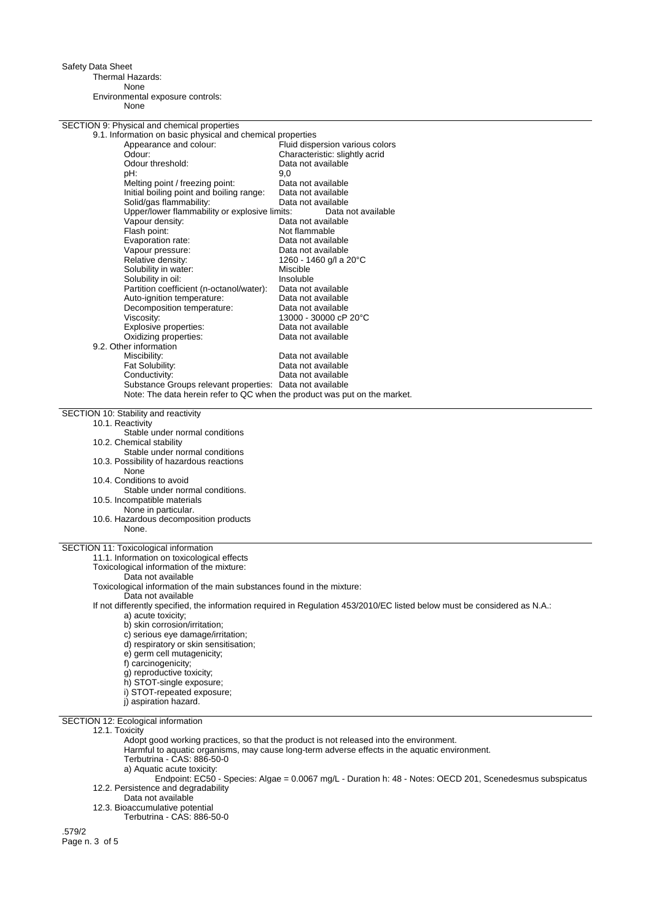Safety Data Sheet

Thermal Hazards:

None

Environmental exposure controls:

None

| SECTION 9: Physical and chemical properties                               |                                                                                                                           |
|---------------------------------------------------------------------------|---------------------------------------------------------------------------------------------------------------------------|
| 9.1. Information on basic physical and chemical properties                |                                                                                                                           |
| Appearance and colour:                                                    | Fluid dispersion various colors                                                                                           |
| Odour:                                                                    | Characteristic: slightly acrid                                                                                            |
| Odour threshold:                                                          | Data not available                                                                                                        |
| pH:                                                                       | 9,0                                                                                                                       |
| Melting point / freezing point:                                           | Data not available                                                                                                        |
| Initial boiling point and boiling range:                                  | Data not available                                                                                                        |
| Solid/gas flammability:                                                   | Data not available                                                                                                        |
| Upper/lower flammability or explosive limits:                             | Data not available                                                                                                        |
| Vapour density:                                                           | Data not available                                                                                                        |
| Flash point:                                                              | Not flammable                                                                                                             |
| Evaporation rate:                                                         | Data not available                                                                                                        |
| Vapour pressure:                                                          | Data not available                                                                                                        |
| Relative density:                                                         | 1260 - 1460 g/l a 20°C                                                                                                    |
| Solubility in water:                                                      | Miscible                                                                                                                  |
| Solubility in oil:                                                        | Insoluble                                                                                                                 |
| Partition coefficient (n-octanol/water):                                  | Data not available                                                                                                        |
|                                                                           |                                                                                                                           |
| Auto-ignition temperature:                                                | Data not available                                                                                                        |
| Decomposition temperature:                                                | Data not available                                                                                                        |
| Viscosity:                                                                | 13000 - 30000 cP 20°C                                                                                                     |
| Explosive properties:                                                     | Data not available                                                                                                        |
| Oxidizing properties:                                                     | Data not available                                                                                                        |
| 9.2. Other information                                                    |                                                                                                                           |
| Miscibility:                                                              | Data not available                                                                                                        |
| Fat Solubility:                                                           | Data not available                                                                                                        |
| Conductivity:                                                             | Data not available                                                                                                        |
| Substance Groups relevant properties: Data not available                  |                                                                                                                           |
| Note: The data herein refer to QC when the product was put on the market. |                                                                                                                           |
|                                                                           |                                                                                                                           |
| SECTION 10: Stability and reactivity                                      |                                                                                                                           |
| 10.1. Reactivity                                                          |                                                                                                                           |
| Stable under normal conditions                                            |                                                                                                                           |
| 10.2. Chemical stability                                                  |                                                                                                                           |
| Stable under normal conditions                                            |                                                                                                                           |
| 10.3. Possibility of hazardous reactions                                  |                                                                                                                           |
| None                                                                      |                                                                                                                           |
| 10.4. Conditions to avoid                                                 |                                                                                                                           |
| Stable under normal conditions.                                           |                                                                                                                           |
| 10.5. Incompatible materials                                              |                                                                                                                           |
| None in particular.                                                       |                                                                                                                           |
| 10.6. Hazardous decomposition products                                    |                                                                                                                           |
| None.                                                                     |                                                                                                                           |
|                                                                           |                                                                                                                           |
| SECTION 11: Toxicological information                                     |                                                                                                                           |
| 11.1. Information on toxicological effects                                |                                                                                                                           |
| Toxicological information of the mixture:                                 |                                                                                                                           |
| Data not available                                                        |                                                                                                                           |
| Toxicological information of the main substances found in the mixture:    |                                                                                                                           |
| Data not available                                                        |                                                                                                                           |
|                                                                           | If not differently specified, the information required in Regulation 453/2010/EC listed below must be considered as N.A.: |
| a) acute toxicity;                                                        |                                                                                                                           |
| b) skin corrosion/irritation;                                             |                                                                                                                           |
| c) serious eye damage/irritation;                                         |                                                                                                                           |
| d) respiratory or skin sensitisation;                                     |                                                                                                                           |
| e) germ cell mutagenicity;                                                |                                                                                                                           |
| f) carcinogenicity;                                                       |                                                                                                                           |
| g) reproductive toxicity;                                                 |                                                                                                                           |
| h) STOT-single exposure;                                                  |                                                                                                                           |
| i) STOT-repeated exposure:                                                |                                                                                                                           |
| j) aspiration hazard.                                                     |                                                                                                                           |
|                                                                           |                                                                                                                           |
| SECTION 12: Ecological information                                        |                                                                                                                           |
| 12.1. Toxicity                                                            |                                                                                                                           |
|                                                                           | Adopt good working practices, so that the product is not released into the environment.                                   |
|                                                                           | Harmful to aquatic organisms, may cause long-term adverse effects in the aquatic environment.                             |
| Terbutrina - CAS: 886-50-0                                                |                                                                                                                           |
| a) Aquatic acute toxicity:                                                |                                                                                                                           |
|                                                                           | Endpoint: EC50 - Species: Algae = 0.0067 mg/L - Duration h: 48 - Notes: OECD 201, Scenedesmus subspicatus                 |
| 12.2. Persistence and degradability                                       |                                                                                                                           |
| Data not available                                                        |                                                                                                                           |
| 12.3. Bioaccumulative potential                                           |                                                                                                                           |
| Terbutrina - CAS: 886-50-0                                                |                                                                                                                           |
| .579/2                                                                    |                                                                                                                           |
| Page n. 3 of 5                                                            |                                                                                                                           |
|                                                                           |                                                                                                                           |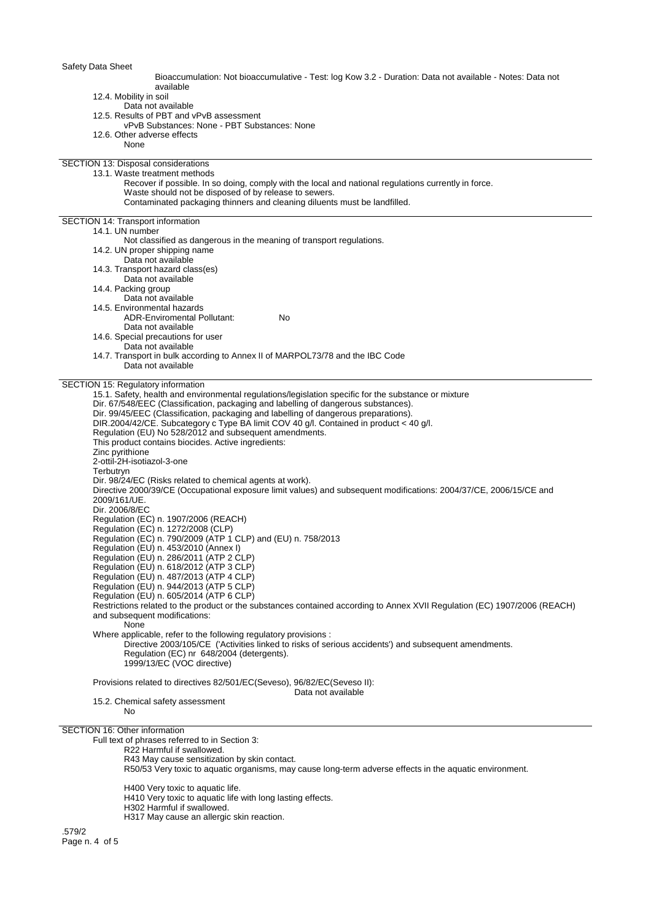Bioaccumulation: Not bioaccumulative - Test: log Kow 3.2 - Duration: Data not available - Notes: Data not available

12.4. Mobility in soil Data not available

- 12.5. Results of PBT and vPvB assessment
- vPvB Substances: None PBT Substances: None
- 12.6. Other adverse effects

None

SECTION 13: Disposal considerations 13.1. Waste treatment methods

Recover if possible. In so doing, comply with the local and national regulations currently in force.

- Waste should not be disposed of by release to sewers.
- Contaminated packaging thinners and cleaning diluents must be landfilled.

## SECTION 14: Transport information

14.1. UN number

Not classified as dangerous in the meaning of transport regulations.

14.2. UN proper shipping name

- Data not available
- 14.3. Transport hazard class(es)
- Data not available
- 14.4. Packing group
- Data not available
- 14.5. Environmental hazards
	- ADR-Enviromental Pollutant: No
- Data not available

14.6. Special precautions for user

- Data not available
- 14.7. Transport in bulk according to Annex II of MARPOL73/78 and the IBC Code Data not available

SECTION 15: Regulatory information

15.1. Safety, health and environmental regulations/legislation specific for the substance or mixture Dir. 67/548/EEC (Classification, packaging and labelling of dangerous substances). Dir. 99/45/EEC (Classification, packaging and labelling of dangerous preparations). DIR.2004/42/CE. Subcategory c Type BA limit COV 40 g/l. Contained in product < 40 g/l. Regulation (EU) No 528/2012 and subsequent amendments. This product contains biocides. Active ingredients: Zinc pyrithione 2-ottil-2H-isotiazol-3-one **Terbutryn** Dir. 98/24/EC (Risks related to chemical agents at work). Directive 2000/39/CE (Occupational exposure limit values) and subsequent modifications: 2004/37/CE, 2006/15/CE and 2009/161/UE. Dir. 2006/8/EC Regulation (EC) n. 1907/2006 (REACH) Regulation (EC) n. 1272/2008 (CLP) Regulation (EC) n. 790/2009 (ATP 1 CLP) and (EU) n. 758/2013 Regulation (EU) n. 453/2010 (Annex I) Regulation (EU) n. 286/2011 (ATP 2 CLP) Regulation (EU) n. 618/2012 (ATP 3 CLP) Regulation (EU) n. 487/2013 (ATP 4 CLP) Regulation (EU) n. 944/2013 (ATP 5 CLP) Regulation (EU) n. 605/2014 (ATP 6 CLP) Restrictions related to the product or the substances contained according to Annex XVII Regulation (EC) 1907/2006 (REACH) and subsequent modifications: None Where applicable, refer to the following regulatory provisions : Directive 2003/105/CE ('Activities linked to risks of serious accidents') and subsequent amendments. Regulation (EC) nr 648/2004 (detergents). 1999/13/EC (VOC directive) Provisions related to directives 82/501/EC(Seveso), 96/82/EC(Seveso II): Data not available 15.2. Chemical safety assessment No SECTION 16: Other information Full text of phrases referred to in Section 3: R22 Harmful if swallowed. R43 May cause sensitization by skin contact. R50/53 Very toxic to aquatic organisms, may cause long-term adverse effects in the aquatic environment. H400 Very toxic to aquatic life.

H410 Very toxic to aquatic life with long lasting effects. H302 Harmful if swallowed.

H317 May cause an allergic skin reaction.

.579/2 Page n. 4 of 5